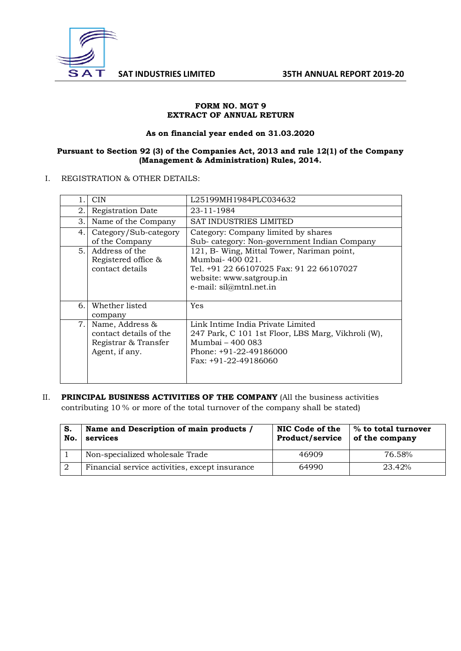

### **FORM NO. MGT 9 EXTRACT OF ANNUAL RETURN**

#### **As on financial year ended on 31.03.2020**

### **Pursuant to Section 92 (3) of the Companies Act, 2013 and rule 12(1) of the Company (Management & Administration) Rules, 2014.**

### I. REGISTRATION & OTHER DETAILS:

| 1. | <b>CIN</b>             | L25199MH1984PLC034632                              |
|----|------------------------|----------------------------------------------------|
| 2. | Registration Date      | 23-11-1984                                         |
| 3. | Name of the Company    | <b>SAT INDUSTRIES LIMITED</b>                      |
| 4. | Category/Sub-category  | Category: Company limited by shares                |
|    | of the Company         | Sub-category: Non-government Indian Company        |
| 5. | Address of the         | 121, B- Wing, Mittal Tower, Nariman point,         |
|    | Registered office &    | Mumbai- 400 021.                                   |
|    | contact details        | Tel. +91 22 66107025 Fax: 91 22 66107027           |
|    |                        | website: www.satgroup.in                           |
|    |                        | e-mail: sil@mtnl.net.in                            |
|    |                        |                                                    |
| 6. | Whether listed         | Yes                                                |
|    | company                |                                                    |
| 7. | Name, Address &        | Link Intime India Private Limited                  |
|    | contact details of the | 247 Park, C 101 1st Floor, LBS Marg, Vikhroli (W), |
|    | Registrar & Transfer   | Mumbai – 400 083                                   |
|    | Agent, if any.         | Phone: $+91-22-49186000$                           |
|    |                        | Fax: $+91-22-49186060$                             |
|    |                        |                                                    |
|    |                        |                                                    |
|    |                        |                                                    |

II. **PRINCIPAL BUSINESS ACTIVITIES OF THE COMPANY** (All the business activities contributing 10 % or more of the total turnover of the company shall be stated)

| S.<br>No. | Name and Description of main products /<br>services | NIC Code of the<br>Product/service | % to total turnover<br>of the company |  |
|-----------|-----------------------------------------------------|------------------------------------|---------------------------------------|--|
|           | Non-specialized wholesale Trade                     | 46909                              | 76.58%                                |  |
|           | Financial service activities, except insurance      | 64990                              | 23.42%                                |  |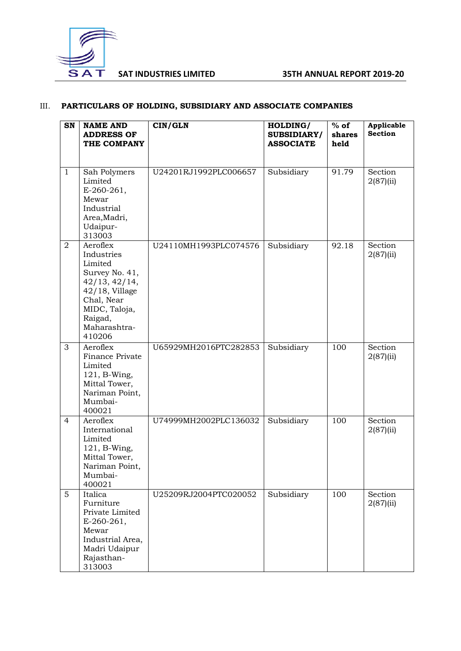

# III. **PARTICULARS OF HOLDING, SUBSIDIARY AND ASSOCIATE COMPANIES**

| SN             | <b>NAME AND</b><br><b>ADDRESS OF</b><br>THE COMPANY                                                                                                           | CIN/GLN               | HOLDING/<br><b>SUBSIDIARY/</b><br><b>ASSOCIATE</b> | $%$ of<br>shares<br>held | Applicable<br><b>Section</b> |
|----------------|---------------------------------------------------------------------------------------------------------------------------------------------------------------|-----------------------|----------------------------------------------------|--------------------------|------------------------------|
| $\mathbf{1}$   | Sah Polymers<br>Limited<br>$E-260-261,$<br>Mewar<br>Industrial<br>Area, Madri,<br>Udaipur-<br>313003                                                          | U24201RJ1992PLC006657 | Subsidiary                                         | 91.79                    | Section<br>2(87)(ii)         |
| $\overline{2}$ | Aeroflex<br>Industries<br>Limited<br>Survey No. 41,<br>42/13, 42/14,<br>$42/18$ , Village<br>Chal, Near<br>MIDC, Taloja,<br>Raigad,<br>Maharashtra-<br>410206 | U24110MH1993PLC074576 | Subsidiary                                         | 92.18                    | Section<br>2(87)(ii)         |
| 3              | Aeroflex<br>Finance Private<br>Limited<br>121, B-Wing,<br>Mittal Tower,<br>Nariman Point,<br>Mumbai-<br>400021                                                | U65929MH2016PTC282853 | Subsidiary                                         | 100                      | Section<br>2(87)(ii)         |
| $\overline{4}$ | Aeroflex<br>International<br>Limited<br>121, B-Wing,<br>Mittal Tower,<br>Nariman Point,<br>Mumbai-<br>400021                                                  | U74999MH2002PLC136032 | Subsidiary                                         | 100                      | Section<br>2(87)(ii)         |
| 5              | Italica<br>Furniture<br>Private Limited<br>$E-260-261,$<br>Mewar<br>Industrial Area,<br>Madri Udaipur<br>Rajasthan-<br>313003                                 | U25209RJ2004PTC020052 | Subsidiary                                         | 100                      | Section<br>2(87)(ii)         |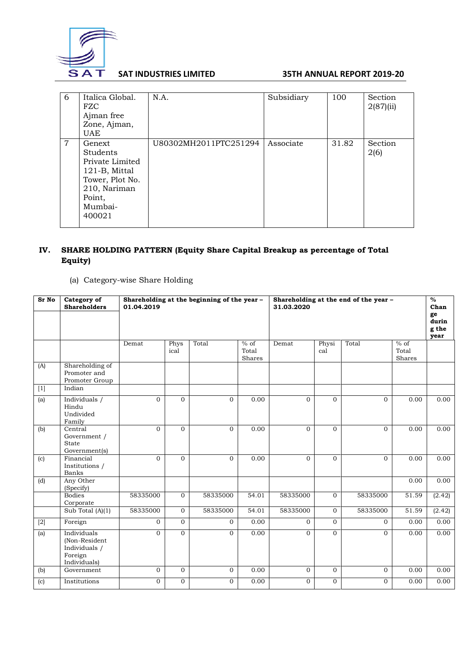

| 6              | Italica Global.<br><b>FZC</b><br>Ajman free<br>Zone, Ajman,<br>UAE                                                              | N.A.                  | Subsidiary | 100   | Section<br>2(87)(ii) |
|----------------|---------------------------------------------------------------------------------------------------------------------------------|-----------------------|------------|-------|----------------------|
| $\overline{7}$ | Genext<br><b>Students</b><br>Private Limited<br>121-B, Mittal<br>Tower, Plot No.<br>210, Nariman<br>Point,<br>Mumbai-<br>400021 | U80302MH2011PTC251294 | Associate  | 31.82 | Section<br>2(6)      |

# **IV. SHARE HOLDING PATTERN (Equity Share Capital Breakup as percentage of Total Equity)**

# (a) Category-wise Share Holding

| Sr No | Category of<br><b>Shareholders</b>                                       | Shareholding at the beginning of the year -<br>Shareholding at the end of the year -<br>01.04.2019<br>31.03.2020 |                |                |                           |                |                | $\frac{0}{2}$<br>Chan<br>ge<br>durin<br>g the<br>year |                                     |        |
|-------|--------------------------------------------------------------------------|------------------------------------------------------------------------------------------------------------------|----------------|----------------|---------------------------|----------------|----------------|-------------------------------------------------------|-------------------------------------|--------|
|       |                                                                          | Demat                                                                                                            | Phys<br>ical   | Total          | $%$ of<br>Total<br>Shares | Demat          | Physi<br>cal   | Total                                                 | $\frac{9}{6}$ of<br>Total<br>Shares |        |
| (A)   | Shareholding of<br>Promoter and<br>Promoter Group                        |                                                                                                                  |                |                |                           |                |                |                                                       |                                     |        |
|       | Indian                                                                   |                                                                                                                  |                |                |                           |                |                |                                                       |                                     |        |
| (a)   | Individuals /<br>Hindu<br>Undivided<br>Family                            | $\mathbf{O}$                                                                                                     | $\Omega$       | $\Omega$       | 0.00                      | $\Omega$       | $\Omega$       | $\Omega$                                              | 0.00                                | 0.00   |
| (b)   | Central<br>Government /<br>State<br>Government(s)                        | $\mathbf{0}$                                                                                                     | $\mathbf{0}$   | $\overline{0}$ | 0.00                      | $\Omega$       | $\Omega$       | $\Omega$                                              | 0.00                                | 0.00   |
| (c)   | Financial<br>Institutions /<br>Banks                                     | $\mathbf{O}$                                                                                                     | $\mathbf{0}$   | $\overline{0}$ | 0.00                      | $\Omega$       | $\mathbf{0}$   | $\mathbf{O}$                                          | 0.00                                | 0.00   |
| (d)   | Any Other<br>(Specify)                                                   |                                                                                                                  |                |                |                           |                |                |                                                       | 0.00                                | 0.00   |
|       | <b>Bodies</b><br>Corporate                                               | 58335000                                                                                                         | $\mathbf{0}$   | 58335000       | 54.01                     | 58335000       | $\Omega$       | 58335000                                              | 51.59                               | (2.42) |
|       | Sub Total $(A)(1)$                                                       | 58335000                                                                                                         | $\mathbf{0}$   | 58335000       | 54.01                     | 58335000       | $\Omega$       | 58335000                                              | 51.59                               | (2.42) |
| $[2]$ | Foreign                                                                  | $\overline{0}$                                                                                                   | $\Omega$       | $\overline{0}$ | 0.00                      | $\Omega$       | $\Omega$       | $\Omega$                                              | 0.00                                | 0.00   |
| (a)   | Individuals<br>(Non-Resident<br>Individuals /<br>Foreign<br>Individuals) | $\Omega$                                                                                                         | $\Omega$       | $\Omega$       | 0.00                      | $\Omega$       | $\Omega$       | $\Omega$                                              | 0.00                                | 0.00   |
| (b)   | Government                                                               | $\overline{0}$                                                                                                   | $\overline{0}$ | $\overline{0}$ | 0.00                      | $\overline{0}$ | $\overline{0}$ | 0                                                     | 0.00                                | 0.00   |
| (c)   | Institutions                                                             | $\overline{0}$                                                                                                   | $\overline{0}$ | $\overline{0}$ | 0.00                      | $\overline{0}$ | $\mathbf{0}$   | $\Omega$                                              | 0.00                                | 0.00   |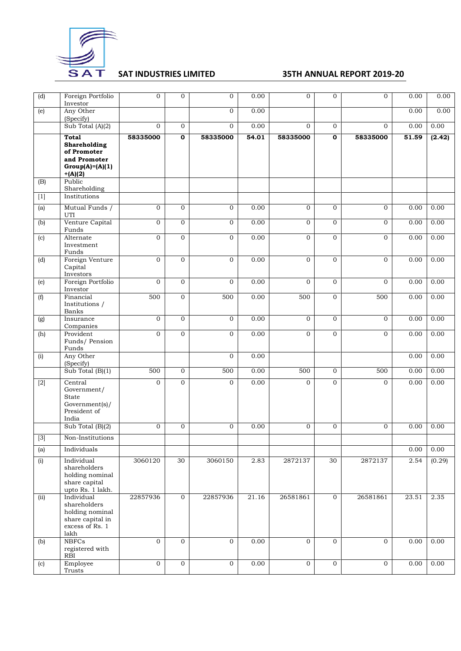

| $\overline{d}$                                                                                                                                                                                                                  | Foreign Portfolio<br>Investor                                                                 | $\overline{0}$ | $\mathbf{0}$   | $\overline{0}$ | 0.00  | $\overline{O}$ | 0              | $\mathbf{0}$ | 0.00  | 0.00   |
|---------------------------------------------------------------------------------------------------------------------------------------------------------------------------------------------------------------------------------|-----------------------------------------------------------------------------------------------|----------------|----------------|----------------|-------|----------------|----------------|--------------|-------|--------|
| (e)                                                                                                                                                                                                                             | Any Other<br>(Specify)                                                                        |                |                | $\overline{0}$ | 0.00  |                |                |              | 0.00  | 0.00   |
|                                                                                                                                                                                                                                 | Sub Total $(A)(2)$                                                                            | $\overline{0}$ | $\overline{0}$ | $\mathbf{0}$   | 0.00  | $\overline{O}$ | $\mathbf{0}$   | $\mathbf{0}$ | 0.00  | 0.00   |
|                                                                                                                                                                                                                                 | <b>Total</b><br>Shareholding<br>of Promoter<br>and Promoter<br>$Group(A)=(A)(1)$<br>$+(A)(2)$ | 58335000       | $\mathbf 0$    | 58335000       | 54.01 | 58335000       | $\mathbf 0$    | 58335000     | 51.59 | (2.42) |
| (B)                                                                                                                                                                                                                             | Public<br>Shareholding                                                                        |                |                |                |       |                |                |              |       |        |
| $[1] % \centering \includegraphics[width=0.9\columnwidth]{figures/fig_10.pdf} \caption{The average number of times of the estimators in the left hand side. The blue number of times of the right side.} \label{fig:fig_11}} %$ | Institutions                                                                                  |                |                |                |       |                |                |              |       |        |
| (a)                                                                                                                                                                                                                             | Mutual Funds /<br>UTI                                                                         | $\mathbf{0}$   | $\mathbf{0}$   | $\mathbf{0}$   | 0.00  | $\overline{O}$ | $\Omega$       | $\mathbf{0}$ | 0.00  | 0.00   |
| (b)                                                                                                                                                                                                                             | Venture Capital<br>Funds                                                                      | $\overline{0}$ | $\mathbf{O}$   | $\overline{0}$ | 0.00  | $\overline{0}$ | $\mathbf{O}$   | $\mathbf{0}$ | 0.00  | 0.00   |
| (c)                                                                                                                                                                                                                             | Alternate<br>Investment<br>Funds                                                              | $\mathbf 0$    | $\mathbf{O}$   | $\mathbf{0}$   | 0.00  | $\overline{O}$ | $\mathbf{O}$   | $\mathbf{0}$ | 0.00  | 0.00   |
| (d)                                                                                                                                                                                                                             | Foreign Venture<br>Capital<br>Investors                                                       | $\overline{0}$ | $\mathbf{0}$   | $\overline{0}$ | 0.00  | $\overline{0}$ | $\mathbf{0}$   | $\mathbf{0}$ | 0.00  | 0.00   |
| (e)                                                                                                                                                                                                                             | Foreign Portfolio<br>Investor                                                                 | $\overline{0}$ | $\mathbf{0}$   | $\mathbf{0}$   | 0.00  | $\Omega$       | $\mathbf{0}$   | $\mathbf{0}$ | 0.00  | 0.00   |
| (f)                                                                                                                                                                                                                             | Financial<br>Institutions /<br>Banks                                                          | 500            | $\overline{0}$ | 500            | 0.00  | 500            | $\mathbf{O}$   | 500          | 0.00  | 0.00   |
| (g)                                                                                                                                                                                                                             | Insurance<br>Companies                                                                        | $\mathbf{0}$   | $\mathbf{0}$   | $\mathbf{0}$   | 0.00  | $\mathbf{0}$   | $\mathbf{0}$   | $\mathbf{0}$ | 0.00  | 0.00   |
| (h)                                                                                                                                                                                                                             | Provident<br>Funds/ Pension<br>Funds                                                          | $\overline{0}$ | $\overline{0}$ | $\overline{0}$ | 0.00  | $\overline{0}$ | $\mathbf{O}$   | $\mathbf{0}$ | 0.00  | 0.00   |
| (i)                                                                                                                                                                                                                             | Any Other<br>(Specify)                                                                        |                |                | $\mathbf{0}$   | 0.00  |                |                |              | 0.00  | 0.00   |
|                                                                                                                                                                                                                                 | Sub Total (B)(1)                                                                              | 500            | $\mathbf{O}$   | 500            | 0.00  | 500            | $\mathbf{0}$   | 500          | 0.00  | 0.00   |
| $[2]$                                                                                                                                                                                                                           | Central<br>Government/<br>State<br>Government(s)/<br>President of<br>India                    | $\overline{0}$ | $\mathbf{0}$   | $\mathbf{0}$   | 0.00  | $\overline{O}$ | $\Omega$       | $\mathbf{0}$ | 0.00  | 0.00   |
|                                                                                                                                                                                                                                 | Sub Total $(B)(2)$                                                                            | $\mathbf 0$    | $\mathbf 0$    | $\mathbf{0}$   | 0.00  | $\overline{O}$ | 0              | $\mathbf 0$  | 0.00  | 0.00   |
| $[3]$                                                                                                                                                                                                                           | Non-Institutions                                                                              |                |                |                |       |                |                |              |       |        |
| (a)                                                                                                                                                                                                                             | Individuals                                                                                   |                |                |                |       |                |                |              | 0.00  | 0.00   |
| (i)                                                                                                                                                                                                                             | Individual<br>shareholders<br>holding nominal<br>share capital<br>upto Rs. 1 lakh.            | 3060120        | 30             | 3060150        | 2.83  | 2872137        | 30             | 2872137      | 2.54  | (0.29) |
| (ii)                                                                                                                                                                                                                            | Individual<br>shareholders<br>holding nominal<br>share capital in<br>excess of Rs. 1<br>lakh  | 22857936       | $\overline{0}$ | 22857936       | 21.16 | 26581861       | $\mathbf{0}$   | 26581861     | 23.51 | 2.35   |
| (b)                                                                                                                                                                                                                             | <b>NBFCs</b><br>registered with<br>RBI                                                        | $\overline{0}$ | $\mathbf{0}$   | $\mathbf{0}$   | 0.00  | $\overline{O}$ | $\overline{0}$ | $\mathbf{0}$ | 0.00  | 0.00   |
| (c)                                                                                                                                                                                                                             | Employee<br>Trusts                                                                            | $\overline{0}$ | $\mathbf{O}$   | $\mathbf{0}$   | 0.00  | $\overline{O}$ | $\mathbf{0}$   | $\mathbf 0$  | 0.00  | 0.00   |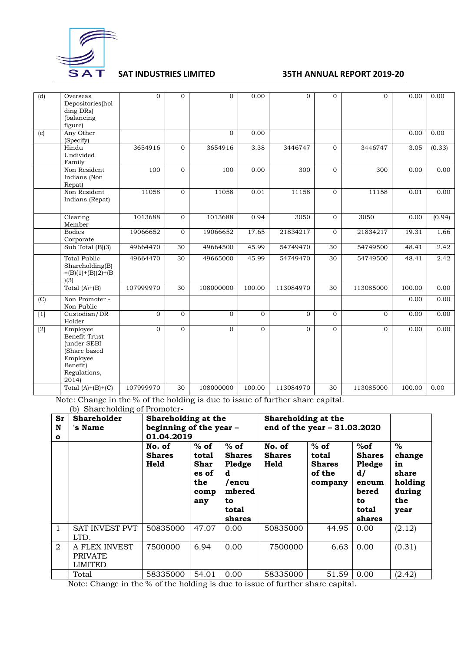

| (d)   | Overseas<br>Depositories(hol<br>ding DRs)<br>(balancing<br>figure)                                       | 0              | $\overline{0}$ | $\mathbf{0}$ | 0.00     | $\overline{0}$ | $\mathbf{0}$    | $\Omega$  | 0.00   | 0.00   |
|-------|----------------------------------------------------------------------------------------------------------|----------------|----------------|--------------|----------|----------------|-----------------|-----------|--------|--------|
| (e)   | Any Other<br>(Specify)                                                                                   |                |                | $\Omega$     | 0.00     |                |                 |           | 0.00   | 0.00   |
|       | Hindu<br>Undivided<br>Family                                                                             | 3654916        | $\overline{0}$ | 3654916      | 3.38     | 3446747        | $\Omega$        | 3446747   | 3.05   | (0.33) |
|       | Non Resident<br>Indians (Non<br>Repat)                                                                   | 100            | $\overline{0}$ | 100          | 0.00     | 300            | $\Omega$        | 300       | 0.00   | 0.00   |
|       | Non Resident<br>Indians (Repat)                                                                          | 11058          | $\overline{0}$ | 11058        | 0.01     | 11158          | $\mathbf{O}$    | 11158     | 0.01   | 0.00   |
|       | Clearing<br>Member                                                                                       | 1013688        | $\mathbf{0}$   | 1013688      | 0.94     | 3050           | $\mathbf{O}$    | 3050      | 0.00   | (0.94) |
|       | <b>Bodies</b><br>Corporate                                                                               | 19066652       | $\overline{0}$ | 19066652     | 17.65    | 21834217       | $\mathbf{0}$    | 21834217  | 19.31  | 1.66   |
|       | Sub Total (B)(3)                                                                                         | 49664470       | 30             | 49664500     | 45.99    | 54749470       | 30              | 54749500  | 48.41  | 2.42   |
|       | <b>Total Public</b><br>Sharcholding(B)<br>$=(B)(1)+(B)(2)+(B)$<br>(3)                                    | 49664470       | 30             | 49665000     | 45.99    | 54749470       | $\overline{30}$ | 54749500  | 48.41  | 2.42   |
|       | Total $(A)+(B)$                                                                                          | 107999970      | 30             | 108000000    | 100.00   | 113084970      | $\overline{30}$ | 113085000 | 100.00 | 0.00   |
| (C)   | Non Promoter -<br>Non Public                                                                             |                |                |              |          |                |                 |           | 0.00   | 0.00   |
| $[1]$ | Custodian/DR<br>Holder                                                                                   | $\mathbf{O}$   | $\Omega$       | $\Omega$     | $\Omega$ | $\Omega$       | $\Omega$        | $\Omega$  | 0.00   | 0.00   |
| $[2]$ | Employee<br>Benefit Trust<br>(under SEBI<br>(Share based<br>Employee<br>Benefit)<br>Regulations,<br>2014 | $\overline{0}$ | $\overline{0}$ | $\Omega$     | $\Omega$ | $\Omega$       | $\Omega$        | $\Omega$  | 0.00   | 0.00   |
|       | Total $(A)+(B)+(C)$                                                                                      | 107999970      | 30             | 108000000    | 100.00   | 113084970      | 30              | 113085000 | 100.00 | 0.00   |

Note: Change in the % of the holding is due to issue of further share capital. (b) Shareholding of Promoter-

| Sr<br>N<br>$\mathbf{o}$ | <b>Shareholder</b><br>'s Name                     | Shareholding at the<br>beginning of the year -<br>01.04.2019 |                                                        |                                                                                    |                                 | Shareholding at the<br>end of the year $-31.03.2020$  |                                                                                 |                                                                   |
|-------------------------|---------------------------------------------------|--------------------------------------------------------------|--------------------------------------------------------|------------------------------------------------------------------------------------|---------------------------------|-------------------------------------------------------|---------------------------------------------------------------------------------|-------------------------------------------------------------------|
|                         |                                                   | No. of<br><b>Shares</b><br>Held                              | $%$ of<br>total<br>Shar<br>es of<br>the<br>comp<br>any | $%$ of<br><b>Shares</b><br>Pledge<br>d<br>/encu<br>mbered<br>to<br>total<br>shares | No. of<br><b>Shares</b><br>Held | $%$ of<br>total<br><b>Shares</b><br>of the<br>company | %of<br><b>Shares</b><br>Pledge<br>d/<br>encum<br>bered<br>to<br>total<br>shares | $\%$<br>change<br>in<br>share<br>holding<br>during<br>the<br>year |
| $\mathbf{1}$            | <b>SAT INVEST PVT</b><br>LTD.                     | 50835000                                                     | 47.07                                                  | 0.00                                                                               | 50835000                        | 44.95                                                 | 0.00                                                                            | (2.12)                                                            |
| $\mathfrak{D}$          | A FLEX INVEST<br><b>PRIVATE</b><br><b>LIMITED</b> | 7500000                                                      | 6.94                                                   | 0.00                                                                               | 7500000                         | 6.63                                                  | 0.00                                                                            | (0.31)                                                            |
|                         | Total                                             | 58335000                                                     | 54.01                                                  | 0.00                                                                               | 58335000                        | 51.59                                                 | 0.00                                                                            | (2.42)                                                            |

Note: Change in the % of the holding is due to issue of further share capital.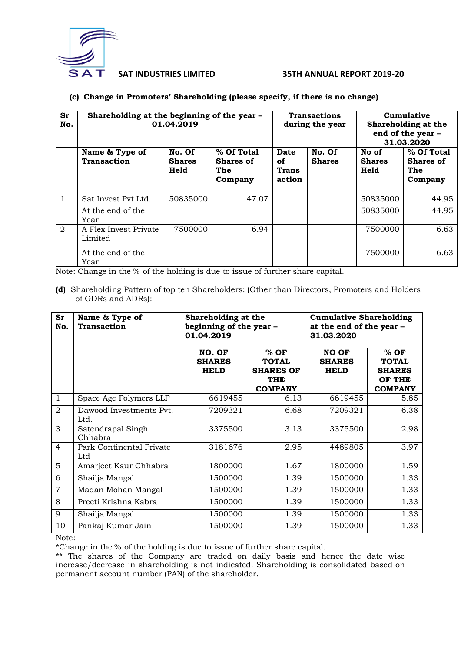

### **(c) Change in Promoters' Shareholding (please specify, if there is no change)**

| Sr<br>No.    | Shareholding at the beginning of the year -<br>01.04.2019 |                                 |                                           |                               | <b>Transactions</b><br>during the year | Cumulative<br>Shareholding at the<br>end of the year -<br>31.03.2020 |                                                  |
|--------------|-----------------------------------------------------------|---------------------------------|-------------------------------------------|-------------------------------|----------------------------------------|----------------------------------------------------------------------|--------------------------------------------------|
|              | Name & Type of<br><b>Transaction</b>                      | No. Of<br><b>Shares</b><br>Held | % Of Total<br>Shares of<br>The<br>Company | Date<br>οf<br>Trans<br>action | No. Of<br><b>Shares</b>                | No of<br><b>Shares</b><br>Held                                       | % Of Total<br><b>Shares of</b><br>The<br>Company |
| $\mathbf{1}$ | Sat Invest Pyt Ltd.                                       | 50835000                        | 47.07                                     |                               |                                        | 50835000                                                             | 44.95                                            |
|              | At the end of the<br>Year                                 |                                 |                                           |                               |                                        | 50835000                                                             | 44.95                                            |
| 2            | A Flex Invest Private<br>Limited                          | 7500000                         | 6.94                                      |                               |                                        | 7500000                                                              | 6.63                                             |
|              | At the end of the<br>Year                                 |                                 |                                           |                               |                                        | 7500000                                                              | 6.63                                             |

Note: Change in the % of the holding is due to issue of further share capital.

**(d)** Shareholding Pattern of top ten Shareholders: (Other than Directors, Promoters and Holders of GDRs and ADRs):

| Sr<br>No.      | Name & Type of<br><b>Transaction</b> | Shareholding at the<br>beginning of the year -<br>01.04.2019 |                                                                            | <b>Cumulative Shareholding</b><br>at the end of the year -<br>31.03.2020 |                                                                     |  |  |
|----------------|--------------------------------------|--------------------------------------------------------------|----------------------------------------------------------------------------|--------------------------------------------------------------------------|---------------------------------------------------------------------|--|--|
|                |                                      | NO. OF<br><b>SHARES</b><br><b>HELD</b>                       | $%$ OF<br><b>TOTAL</b><br><b>SHARES OF</b><br><b>THE</b><br><b>COMPANY</b> | <b>NO OF</b><br><b>SHARES</b><br><b>HELD</b>                             | $%$ OF<br><b>TOTAL</b><br><b>SHARES</b><br>OF THE<br><b>COMPANY</b> |  |  |
| $\mathbf{1}$   | Space Age Polymers LLP               | 6619455                                                      | 6.13                                                                       | 6619455                                                                  | 5.85                                                                |  |  |
| 2              | Dawood Investments Pvt.<br>Ltd.      | 7209321                                                      | 6.68                                                                       | 7209321                                                                  | 6.38                                                                |  |  |
| 3              | Satendrapal Singh<br>Chhabra         | 3375500                                                      | 3.13                                                                       | 3375500                                                                  | 2.98                                                                |  |  |
| $\overline{4}$ | Park Continental Private<br>Ltd      | 3181676                                                      | 2.95                                                                       | 4489805                                                                  | 3.97                                                                |  |  |
| 5              | Amarjeet Kaur Chhabra                | 1800000                                                      | 1.67                                                                       | 1800000                                                                  | 1.59                                                                |  |  |
| 6              | Shailja Mangal                       | 1500000                                                      | 1.39                                                                       | 1500000                                                                  | 1.33                                                                |  |  |
| $\overline{7}$ | Madan Mohan Mangal                   | 1500000                                                      | 1.39                                                                       | 1500000                                                                  | 1.33                                                                |  |  |
| 8              | Preeti Krishna Kabra                 | 1500000                                                      | 1.39                                                                       | 1500000                                                                  | 1.33                                                                |  |  |
| 9              | Shailja Mangal                       | 1500000                                                      | 1.39                                                                       | 1500000                                                                  | 1.33                                                                |  |  |
| 10             | Pankaj Kumar Jain                    | 1500000                                                      | 1.39                                                                       | 1500000                                                                  | 1.33                                                                |  |  |

Note:

\*Change in the % of the holding is due to issue of further share capital.

\*\* The shares of the Company are traded on daily basis and hence the date wise increase/decrease in shareholding is not indicated. Shareholding is consolidated based on permanent account number (PAN) of the shareholder.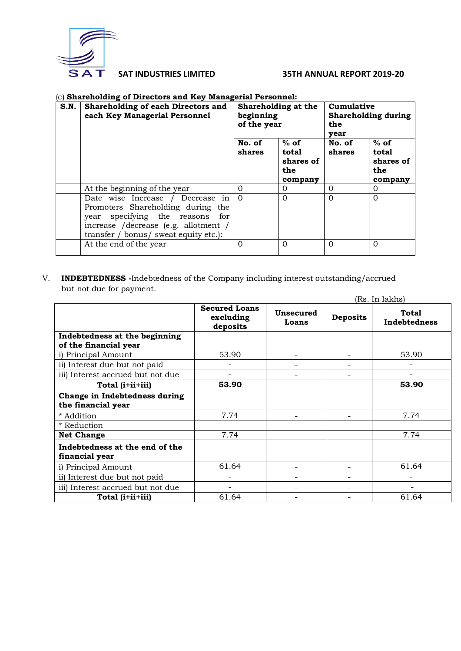

### (e) **Shareholding of Directors and Key Managerial Personnel:**

| S.N. | <b>Shareholding of each Directors and</b><br>each Key Managerial Personnel                                                                                                                   | beginning<br>of the year | Shareholding at the                            | Cumulative<br><b>Shareholding during</b><br>the<br>vear |                                                |
|------|----------------------------------------------------------------------------------------------------------------------------------------------------------------------------------------------|--------------------------|------------------------------------------------|---------------------------------------------------------|------------------------------------------------|
|      |                                                                                                                                                                                              | No. of<br>shares         | $%$ of<br>total<br>shares of<br>the<br>company | No. of<br>shares                                        | $%$ of<br>total<br>shares of<br>the<br>company |
|      | At the beginning of the year                                                                                                                                                                 | $\Omega$                 | 0                                              | 0                                                       | $\Omega$                                       |
|      | Date wise Increase / Decrease in<br>Promoters Shareholding during the<br>year specifying the reasons<br>for<br>increase /decrease (e.g. allotment /<br>transfer / bonus/ sweat equity etc.): | $\Omega$                 | $\Omega$                                       | $\Omega$                                                | $\Omega$                                       |
|      | At the end of the year                                                                                                                                                                       | $\Omega$                 | $\Omega$                                       | $\Omega$                                                | $\Omega$                                       |

V. **INDEBTEDNESS -**Indebtedness of the Company including interest outstanding/accrued but not due for payment.  $(D<sub>2</sub>, I<sub>1</sub>, 1<sub>2</sub>, 1<sub>3</sub>)$ 

|                                                        |                                               |                          | (Rs. In lakhs)  |                              |  |  |
|--------------------------------------------------------|-----------------------------------------------|--------------------------|-----------------|------------------------------|--|--|
|                                                        | <b>Secured Loans</b><br>excluding<br>deposits | Unsecured<br>Loans       | <b>Deposits</b> | <b>Total</b><br>Indebtedness |  |  |
| Indebtedness at the beginning<br>of the financial year |                                               |                          |                 |                              |  |  |
| i) Principal Amount                                    | 53.90                                         |                          |                 | 53.90                        |  |  |
| ii) Interest due but not paid                          |                                               | $\overline{\phantom{0}}$ |                 |                              |  |  |
| iii) Interest accrued but not due                      |                                               |                          |                 |                              |  |  |
| Total (i+ii+iii)                                       | 53.90                                         |                          |                 | 53.90                        |  |  |
| Change in Indebtedness during<br>the financial year    |                                               |                          |                 |                              |  |  |
| * Addition                                             | 7.74                                          | ۰                        |                 | 7.74                         |  |  |
| * Reduction                                            |                                               |                          |                 |                              |  |  |
| <b>Net Change</b>                                      | 7.74                                          |                          |                 | 7.74                         |  |  |
| Indebtedness at the end of the<br>financial year       |                                               |                          |                 |                              |  |  |
| i) Principal Amount                                    | 61.64                                         |                          |                 | 61.64                        |  |  |
| ii) Interest due but not paid                          |                                               | ۰                        |                 |                              |  |  |
| iii) Interest accrued but not due                      |                                               |                          |                 |                              |  |  |
| Total (i+ii+iii)                                       | 61.64                                         |                          |                 | 61.64                        |  |  |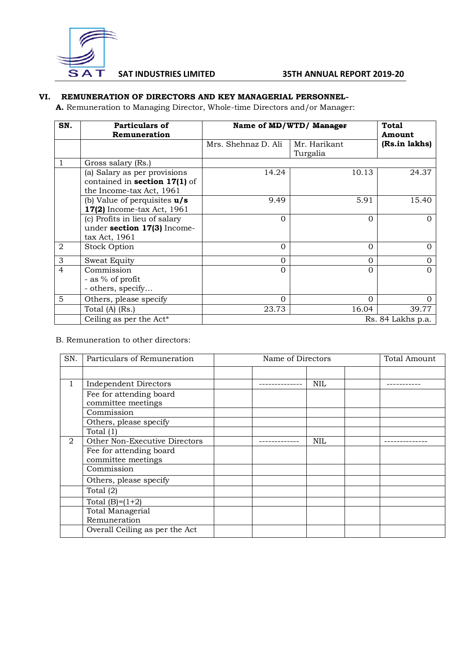

# **VI. REMUNERATION OF DIRECTORS AND KEY MANAGERIAL PERSONNEL-**

**A.** Remuneration to Managing Director, Whole-time Directors and/or Manager:

| SN.            | Particulars of                 | Name of MD/WTD/ Manager | <b>Total</b> |               |  |
|----------------|--------------------------------|-------------------------|--------------|---------------|--|
|                | Remuneration                   |                         | Amount       |               |  |
|                |                                | Mrs. Shehnaz D. Ali     | Mr. Harikant | (Rs.in lakhs) |  |
|                |                                |                         | Turgalia     |               |  |
| 1              | Gross salary (Rs.)             |                         |              |               |  |
|                | (a) Salary as per provisions   | 14.24                   | 10.13        | 24.37         |  |
|                | contained in section 17(1) of  |                         |              |               |  |
|                | the Income-tax Act, 1961       |                         |              |               |  |
|                | (b) Value of perquisites $u/s$ | 9.49                    | 5.91         | 15.40         |  |
|                | 17(2) Income-tax Act, 1961     |                         |              |               |  |
|                | (c) Profits in lieu of salary  | $\Omega$                | $\Omega$     | O             |  |
|                | under section 17(3) Income-    |                         |              |               |  |
|                | tax Act, 1961                  |                         |              |               |  |
| $\overline{2}$ | <b>Stock Option</b>            | $\Omega$                | $\Omega$     | O             |  |
| 3              | Sweat Equity                   | $\Omega$                | 0            | 0             |  |
| $\overline{4}$ | Commission                     | 0                       | $\Omega$     |               |  |
|                | - as % of profit               |                         |              |               |  |
|                | - others, specify              |                         |              |               |  |
| 5              | Others, please specify         | $\Omega$                | $\Omega$     | 0             |  |
|                | Total (A) (Rs.)                | 23.73                   | 16.04        | 39.77         |  |
|                | Ceiling as per the Act*        | Rs. 84 Lakhs p.a.       |              |               |  |

B. Remuneration to other directors:

| SN.            | Particulars of Remuneration    | Name of Directors | <b>Total Amount</b> |  |
|----------------|--------------------------------|-------------------|---------------------|--|
|                |                                |                   |                     |  |
| 1              | <b>Independent Directors</b>   |                   | <b>NIL</b>          |  |
|                | Fee for attending board        |                   |                     |  |
|                | committee meetings             |                   |                     |  |
|                | Commission                     |                   |                     |  |
|                | Others, please specify         |                   |                     |  |
|                | Total (1)                      |                   |                     |  |
| $\overline{2}$ | Other Non-Executive Directors  |                   | <b>NIL</b>          |  |
|                | Fee for attending board        |                   |                     |  |
|                | committee meetings             |                   |                     |  |
|                | Commission                     |                   |                     |  |
|                | Others, please specify         |                   |                     |  |
|                | Total $(2)$                    |                   |                     |  |
|                | Total $(B)=(1+2)$              |                   |                     |  |
|                | Total Managerial               |                   |                     |  |
|                | Remuneration                   |                   |                     |  |
|                | Overall Ceiling as per the Act |                   |                     |  |